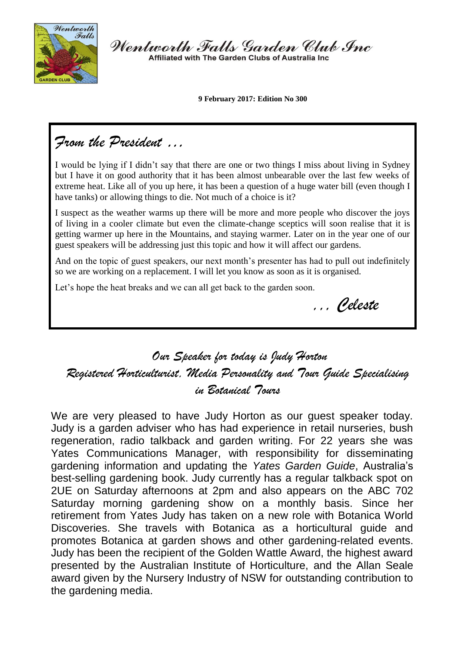

Wentworth Falls Garden Club Inc Affiliated with The Garden Clubs of Australia Inc.

**9 February 2017: Edition No 300**

## *From the President …*

I would be lying if I didn't say that there are one or two things I miss about living in Sydney but I have it on good authority that it has been almost unbearable over the last few weeks of extreme heat. Like all of you up here, it has been a question of a huge water bill (even though I have tanks) or allowing things to die. Not much of a choice is it?

I suspect as the weather warms up there will be more and more people who discover the joys of living in a cooler climate but even the climate-change sceptics will soon realise that it is getting warmer up here in the Mountains, and staying warmer. Later on in the year one of our guest speakers will be addressing just this topic and how it will affect our gardens.

And on the topic of guest speakers, our next month's presenter has had to pull out indefinitely so we are working on a replacement. I will let you know as soon as it is organised.

Let's hope the heat breaks and we can all get back to the garden soon.

*,,, Celeste*

*Our Speaker for today is Judy Horton Registered Horticulturist, Media Personality and Tour Guide Specialising in Botanical Tours*

We are very pleased to have Judy Horton as our guest speaker today. Judy is a garden adviser who has had experience in retail nurseries, bush regeneration, radio talkback and garden writing. For 22 years she was Yates Communications Manager, with responsibility for disseminating gardening information and updating the *Yates Garden Guide*, Australia's best-selling gardening book. Judy currently has a regular talkback spot on 2UE on Saturday afternoons at 2pm and also appears on the ABC 702 Saturday morning gardening show on a monthly basis. Since her retirement from Yates Judy has taken on a new role with Botanica World Discoveries. She travels with Botanica as a horticultural guide and promotes Botanica at garden shows and other gardening-related events. Judy has been the recipient of the Golden Wattle Award, the highest award presented by the Australian Institute of Horticulture, and the Allan Seale award given by the Nursery Industry of NSW for outstanding contribution to the gardening media.